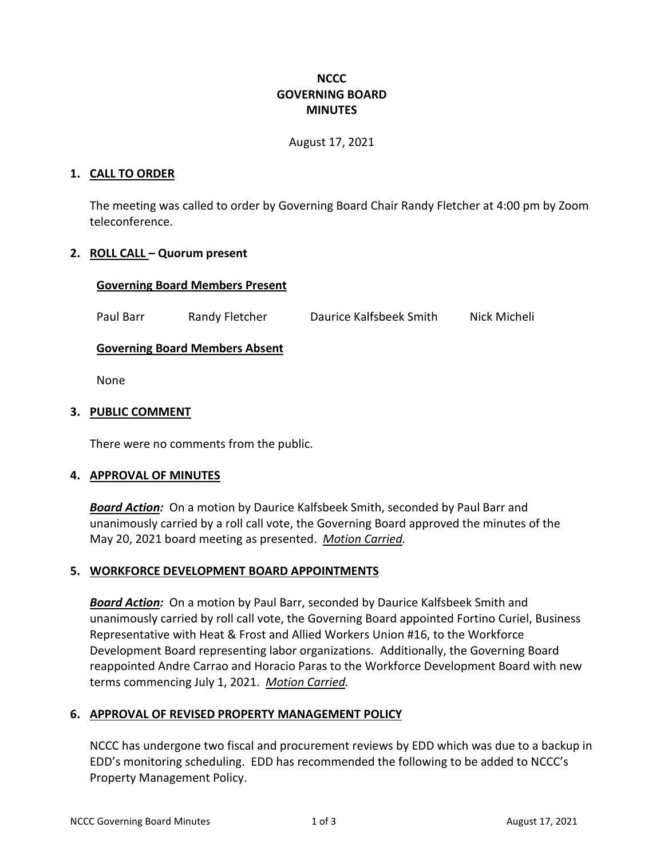# **NCCC GOVERNING BOARD MINUTES**

August 17, 2021

### **1. CALL TO ORDER**

The meeting was called to order by Governing Board Chair Randy Fletcher at 4:00 pm by Zoom teleconference.

# **2. ROLL CALL – Quorum present**

### **Governing Board Members Present**

Paul Barr Randy Fletcher Daurice Kalfsbeek Smith Nick Micheli

# **Governing Board Members Absent**

None

#### **3. PUBLIC COMMENT**

There were no comments from the public.

#### **4. APPROVAL OF MINUTES**

*Board Action:* On a motion by Daurice Kalfsbeek Smith, seconded by Paul Barr and unanimously carried by a roll call vote, the Governing Board approved the minutes of the May 20, 2021 board meeting as presented. *Motion Carried.*

#### **5. WORKFORCE DEVELOPMENT BOARD APPOINTMENTS**

*Board Action:* On a motion by Paul Barr, seconded by Daurice Kalfsbeek Smith and unanimously carried by roll call vote, the Governing Board appointed Fortino Curiel, Business Representative with Heat & Frost and Allied Workers Union #16, to the Workforce Development Board representing labor organizations. Additionally, the Governing Board reappointed Andre Carrao and Horacio Paras to the Workforce Development Board with new terms commencing July 1, 2021. *Motion Carried.*

# **6. APPROVAL OF REVISED PROPERTY MANAGEMENT POLICY**

NCCC has undergone two fiscal and procurement reviews by EDD which was due to a backup in EDD's monitoring scheduling. EDD has recommended the following to be added to NCCC's Property Management Policy.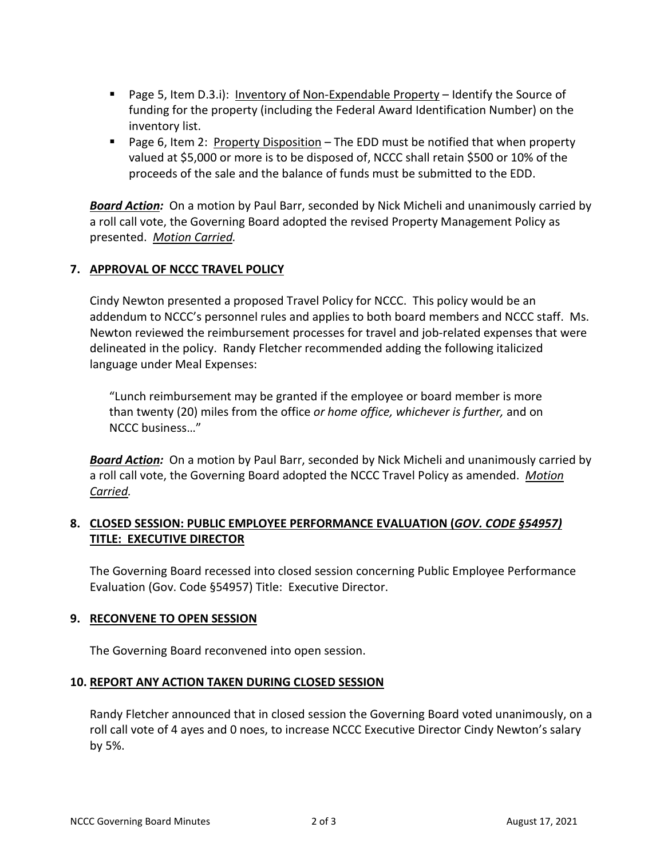- **Page 5, Item D.3.i): Inventory of Non-Expendable Property Identify the Source of** funding for the property (including the Federal Award Identification Number) on the inventory list.
- **Page 6, Item 2: Property Disposition The EDD must be notified that when property** valued at \$5,000 or more is to be disposed of, NCCC shall retain \$500 or 10% of the proceeds of the sale and the balance of funds must be submitted to the EDD.

*Board Action:* On a motion by Paul Barr, seconded by Nick Micheli and unanimously carried by a roll call vote, the Governing Board adopted the revised Property Management Policy as presented. *Motion Carried.*

# **7. APPROVAL OF NCCC TRAVEL POLICY**

Cindy Newton presented a proposed Travel Policy for NCCC. This policy would be an addendum to NCCC's personnel rules and applies to both board members and NCCC staff. Ms. Newton reviewed the reimbursement processes for travel and job-related expenses that were delineated in the policy. Randy Fletcher recommended adding the following italicized language under Meal Expenses:

"Lunch reimbursement may be granted if the employee or board member is more than twenty (20) miles from the office *or home office, whichever is further,* and on NCCC business…"

*Board Action:* On a motion by Paul Barr, seconded by Nick Micheli and unanimously carried by a roll call vote, the Governing Board adopted the NCCC Travel Policy as amended. *Motion Carried.*

# **8. CLOSED SESSION: PUBLIC EMPLOYEE PERFORMANCE EVALUATION (***GOV. CODE §54957)*  **TITLE: EXECUTIVE DIRECTOR**

The Governing Board recessed into closed session concerning Public Employee Performance Evaluation (Gov. Code §54957) Title: Executive Director.

# **9. RECONVENE TO OPEN SESSION**

The Governing Board reconvened into open session.

# **10. REPORT ANY ACTION TAKEN DURING CLOSED SESSION**

Randy Fletcher announced that in closed session the Governing Board voted unanimously, on a roll call vote of 4 ayes and 0 noes, to increase NCCC Executive Director Cindy Newton's salary by 5%.